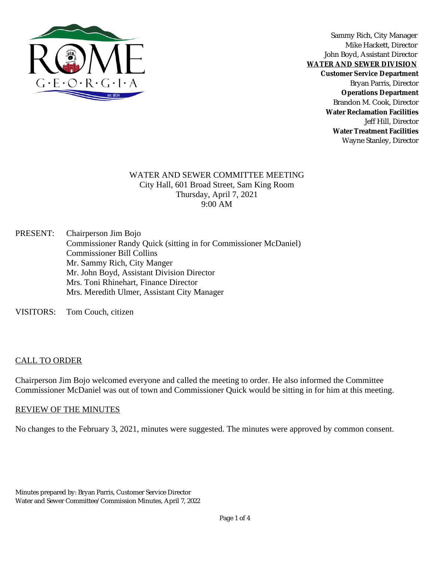

Sammy Rich, City Manager Mike Hackett, Director John Boyd, Assistant Director

**WATER AND SEWER DIVISION**

**Customer Service Department**

Bryan Parris, Director **Operations Department** Brandon M. Cook, Director **Water Reclamation Facilities** Jeff Hill, Director **Water Treatment Facilities** Wayne Stanley, Director

#### WATER AND SEWER COMMITTEE MEETING City Hall, 601 Broad Street, Sam King Room Thursday, April 7, 2021 9:00 AM

PRESENT: Chairperson Jim Bojo Commissioner Randy Quick (sitting in for Commissioner McDaniel) Commissioner Bill Collins Mr. Sammy Rich, City Manger Mr. John Boyd, Assistant Division Director Mrs. Toni Rhinehart, Finance Director Mrs. Meredith Ulmer, Assistant City Manager

VISITORS: Tom Couch, citizen

### CALL TO ORDER

Chairperson Jim Bojo welcomed everyone and called the meeting to order. He also informed the Committee Commissioner McDaniel was out of town and Commissioner Quick would be sitting in for him at this meeting.

#### REVIEW OF THE MINUTES

No changes to the February 3, 2021, minutes were suggested. The minutes were approved by common consent.

Minutes prepared by: Bryan Parris, Customer Service Director Water and Sewer Committee/ Commission Minutes, April 7, 2022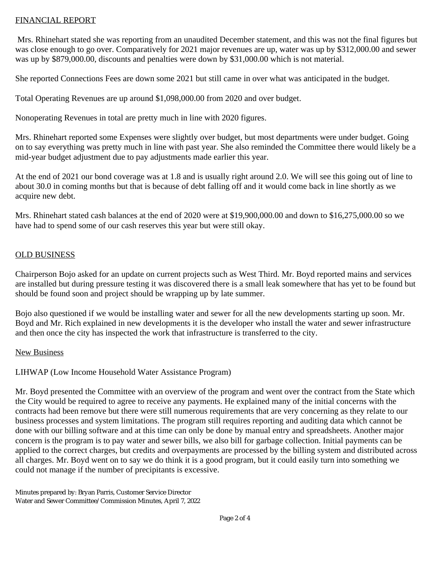### FINANCIAL REPORT

Mrs. Rhinehart stated she was reporting from an unaudited December statement, and this was not the final figures but was close enough to go over. Comparatively for 2021 major revenues are up, water was up by \$312,000.00 and sewer was up by \$879,000.00, discounts and penalties were down by \$31,000.00 which is not material.

She reported Connections Fees are down some 2021 but still came in over what was anticipated in the budget.

Total Operating Revenues are up around \$1,098,000.00 from 2020 and over budget.

Nonoperating Revenues in total are pretty much in line with 2020 figures.

Mrs. Rhinehart reported some Expenses were slightly over budget, but most departments were under budget. Going on to say everything was pretty much in line with past year. She also reminded the Committee there would likely be a mid-year budget adjustment due to pay adjustments made earlier this year.

At the end of 2021 our bond coverage was at 1.8 and is usually right around 2.0. We will see this going out of line to about 30.0 in coming months but that is because of debt falling off and it would come back in line shortly as we acquire new debt.

Mrs. Rhinehart stated cash balances at the end of 2020 were at \$19,900,000.00 and down to \$16,275,000.00 so we have had to spend some of our cash reserves this year but were still okay.

#### OLD BUSINESS

Chairperson Bojo asked for an update on current projects such as West Third. Mr. Boyd reported mains and services are installed but during pressure testing it was discovered there is a small leak somewhere that has yet to be found but should be found soon and project should be wrapping up by late summer.

Bojo also questioned if we would be installing water and sewer for all the new developments starting up soon. Mr. Boyd and Mr. Rich explained in new developments it is the developer who install the water and sewer infrastructure and then once the city has inspected the work that infrastructure is transferred to the city.

#### New Business

# LIHWAP (Low Income Household Water Assistance Program)

Mr. Boyd presented the Committee with an overview of the program and went over the contract from the State which the City would be required to agree to receive any payments. He explained many of the initial concerns with the contracts had been remove but there were still numerous requirements that are very concerning as they relate to our business processes and system limitations. The program still requires reporting and auditing data which cannot be done with our billing software and at this time can only be done by manual entry and spreadsheets. Another major concern is the program is to pay water and sewer bills, we also bill for garbage collection. Initial payments can be applied to the correct charges, but credits and overpayments are processed by the billing system and distributed across all charges. Mr. Boyd went on to say we do think it is a good program, but it could easily turn into something we could not manage if the number of precipitants is excessive.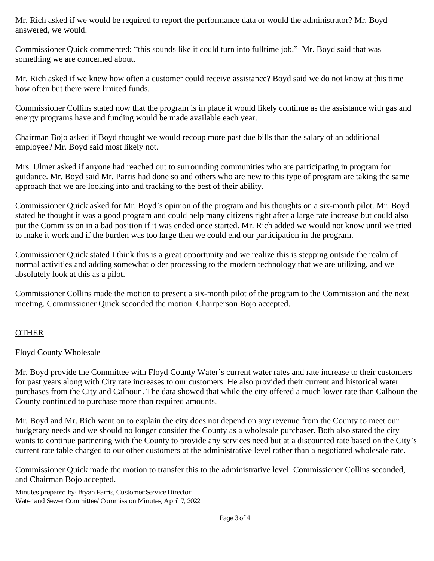Mr. Rich asked if we would be required to report the performance data or would the administrator? Mr. Boyd answered, we would.

Commissioner Quick commented; "this sounds like it could turn into fulltime job." Mr. Boyd said that was something we are concerned about.

Mr. Rich asked if we knew how often a customer could receive assistance? Boyd said we do not know at this time how often but there were limited funds.

Commissioner Collins stated now that the program is in place it would likely continue as the assistance with gas and energy programs have and funding would be made available each year.

Chairman Bojo asked if Boyd thought we would recoup more past due bills than the salary of an additional employee? Mr. Boyd said most likely not.

Mrs. Ulmer asked if anyone had reached out to surrounding communities who are participating in program for guidance. Mr. Boyd said Mr. Parris had done so and others who are new to this type of program are taking the same approach that we are looking into and tracking to the best of their ability.

Commissioner Quick asked for Mr. Boyd's opinion of the program and his thoughts on a six-month pilot. Mr. Boyd stated he thought it was a good program and could help many citizens right after a large rate increase but could also put the Commission in a bad position if it was ended once started. Mr. Rich added we would not know until we tried to make it work and if the burden was too large then we could end our participation in the program.

Commissioner Quick stated I think this is a great opportunity and we realize this is stepping outside the realm of normal activities and adding somewhat older processing to the modern technology that we are utilizing, and we absolutely look at this as a pilot.

Commissioner Collins made the motion to present a six-month pilot of the program to the Commission and the next meeting. Commissioner Quick seconded the motion. Chairperson Bojo accepted.

## **OTHER**

Floyd County Wholesale

Mr. Boyd provide the Committee with Floyd County Water's current water rates and rate increase to their customers for past years along with City rate increases to our customers. He also provided their current and historical water purchases from the City and Calhoun. The data showed that while the city offered a much lower rate than Calhoun the County continued to purchase more than required amounts.

Mr. Boyd and Mr. Rich went on to explain the city does not depend on any revenue from the County to meet our budgetary needs and we should no longer consider the County as a wholesale purchaser. Both also stated the city wants to continue partnering with the County to provide any services need but at a discounted rate based on the City's current rate table charged to our other customers at the administrative level rather than a negotiated wholesale rate.

Commissioner Quick made the motion to transfer this to the administrative level. Commissioner Collins seconded, and Chairman Bojo accepted.

Minutes prepared by: Bryan Parris, Customer Service Director Water and Sewer Committee/ Commission Minutes, April 7, 2022